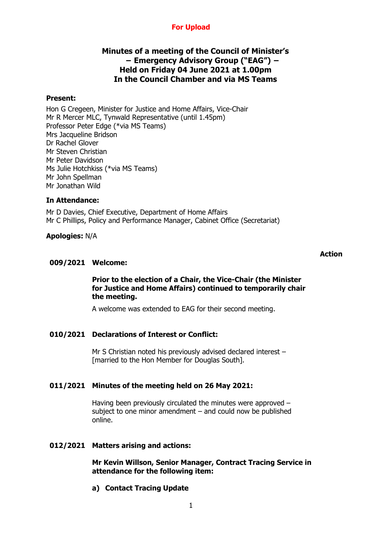# **For Upload**

# **Minutes of a meeting of the Council of Minister's − Emergency Advisory Group ("EAG") − Held on Friday 04 June 2021 at 1.00pm In the Council Chamber and via MS Teams**

### **Present:**

Hon G Cregeen, Minister for Justice and Home Affairs, Vice-Chair Mr R Mercer MLC, Tynwald Representative (until 1.45pm) Professor Peter Edge (\*via MS Teams) Mrs Jacqueline Bridson Dr Rachel Glover Mr Steven Christian Mr Peter Davidson Ms Julie Hotchkiss (\*via MS Teams) Mr John Spellman Mr Jonathan Wild

### **In Attendance:**

Mr D Davies, Chief Executive, Department of Home Affairs Mr C Phillips, Policy and Performance Manager, Cabinet Office (Secretariat)

### **Apologies:** N/A

#### **Action**

### **009/2021 Welcome:**

### **Prior to the election of a Chair, the Vice-Chair (the Minister for Justice and Home Affairs) continued to temporarily chair the meeting.**

A welcome was extended to EAG for their second meeting.

## **010/2021 Declarations of Interest or Conflict:**

Mr S Christian noted his previously advised declared interest – [married to the Hon Member for Douglas South].

### **011/2021 Minutes of the meeting held on 26 May 2021:**

Having been previously circulated the minutes were approved – subject to one minor amendment – and could now be published online.

### **012/2021 Matters arising and actions:**

### **Mr Kevin Willson, Senior Manager, Contract Tracing Service in attendance for the following item:**

**a) Contact Tracing Update**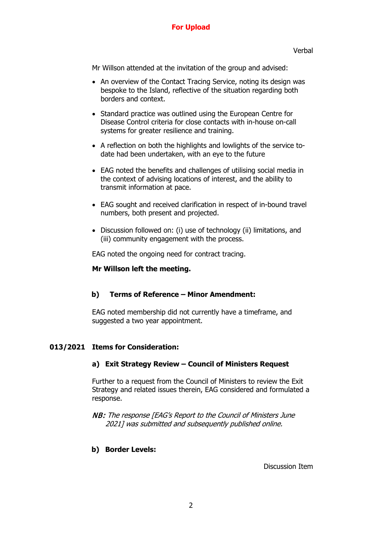# **For Upload**

Mr Willson attended at the invitation of the group and advised:

- An overview of the Contact Tracing Service, noting its design was bespoke to the Island, reflective of the situation regarding both borders and context.
- Standard practice was outlined using the European Centre for Disease Control criteria for close contacts with in-house on-call systems for greater resilience and training.
- A reflection on both the highlights and lowlights of the service todate had been undertaken, with an eye to the future
- EAG noted the benefits and challenges of utilising social media in the context of advising locations of interest, and the ability to transmit information at pace.
- EAG sought and received clarification in respect of in-bound travel numbers, both present and projected.
- Discussion followed on: (i) use of technology (ii) limitations, and (iii) community engagement with the process.

EAG noted the ongoing need for contract tracing.

## **Mr Willson left the meeting.**

## **b) Terms of Reference – Minor Amendment:**

EAG noted membership did not currently have a timeframe, and suggested a two year appointment.

## **013/2021 Items for Consideration:**

### **a) Exit Strategy Review – Council of Ministers Request**

Further to a request from the Council of Ministers to review the Exit Strategy and related issues therein, EAG considered and formulated a response.

NB: The response [EAG's Report to the Council of Ministers June 2021] was submitted and subsequently published online.

## **b) Border Levels:**

Discussion Item